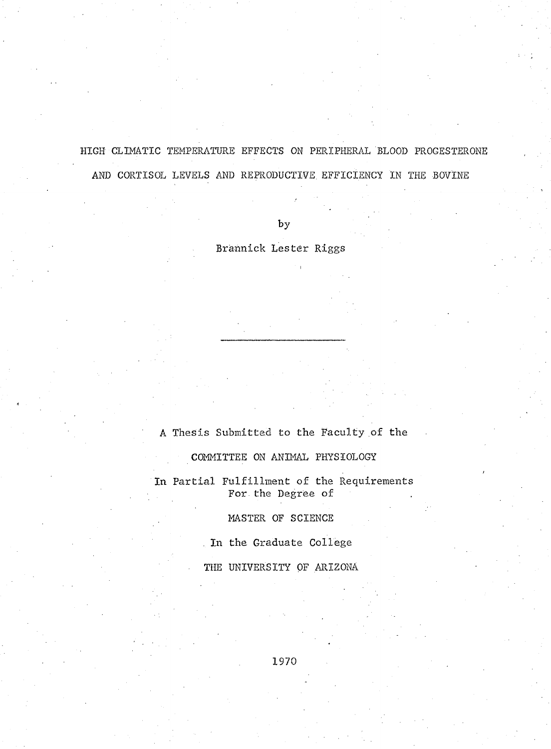**HIGH CLIMATIC TEMPERATURE EFFECTS ON PERIPHERAL BLOOD PROGESTERONE AND CORTISOL LEVELS AND REPRODUCTIVE EFFICIENCY IN THE BOVINE**

**by**

**Brannick Lester Riggs**

# **A Thesis Submitted to the Faculty of the**

**COMMITTEE ON ANIMAL PHYSIOLOGY**

**In Partial Fulfillment of the Requirements For the Degree of**

**MASTER OF SCIENCE**

**. In the Graduate College**

**THE UNIVERSITY OF ARIZONA**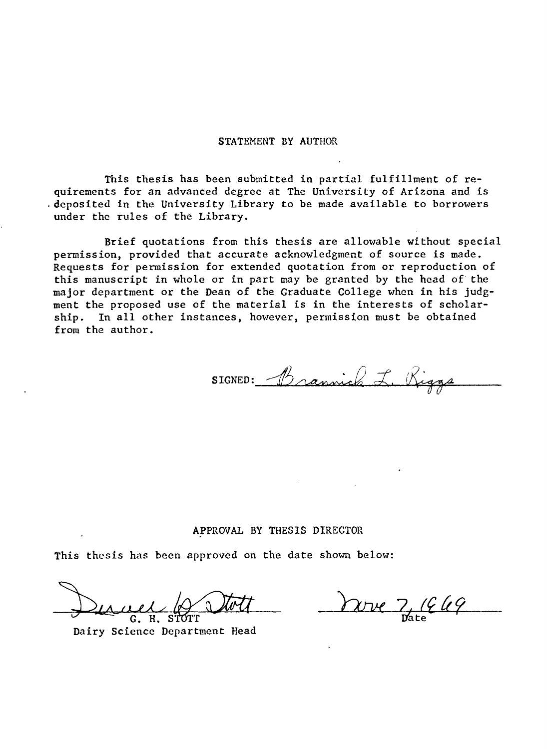#### **STATEMENT BY AUTHOR**

**This thesis has been submitted in partial fulfillment of requirements for an advanced degree at The University of Arizona and is deposited in the University Library to be made available to borrowers under the rules of the Library.**

**Brief quotations from this thesis are allowable without special permission, provided that accurate acknowledgment of source is made. Requests for permission for extended quotation from or reproduction of this manuscript in whole or in part may be granted by the head of the major department or the Dean of the Graduate College when in his judgment the proposed use of the material is in the interests of scholarship. In all other instances, however, permission must be obtained from the author.**

SIGNED: Brannich L. Riggs

#### **APPROVAL BY THESIS DIRECTOR**

**This thesis has been approved on the date shown below:**

G. H.

<u>1949</u>  $\chi_{\rm DVC}$ 

**Dairy Science Department Head**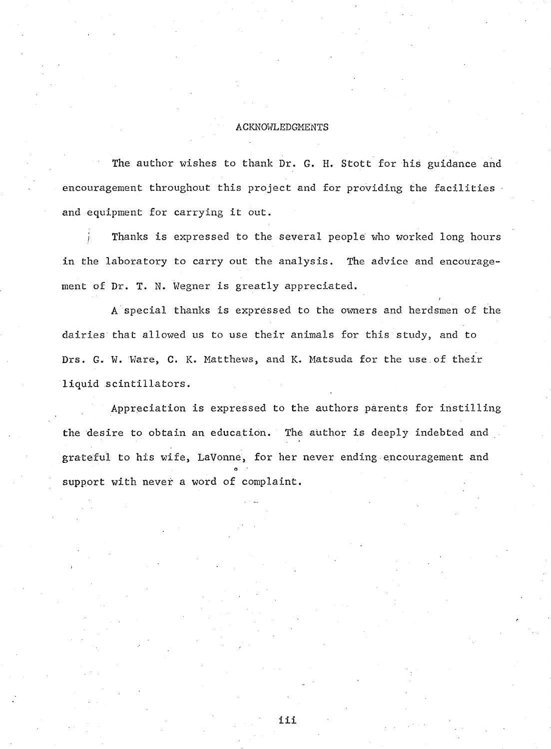### **ACKNOWLEDGMENTS**

The author wishes to thank Dr. G. H. Stott for his guidance and **encouragement throughout this project and for providing the facilities and equipment for carrying it out.**

**/ Thanks is expressed to the several people who worked long hours in the laboratory to carry out the analysis. The advice and encouragement of Dr. T. N. Wegner is greatly appreciated.**

**A special thanks is expressed to the owners and herdsmen of the dairies that allowed us to use their animals for this study, and to** Drs. G. W. Ware, C. K. Matthews, and K. Matsuda for the use of their **liquid scintillators.**

**Appreciation is expressed to the authors parents for instilling the desire to obtain an education. The author is deeply indebted and** grateful to his wife, LaVonne, for her never ending encouragement and **support with never a word of complaint.**

**iii**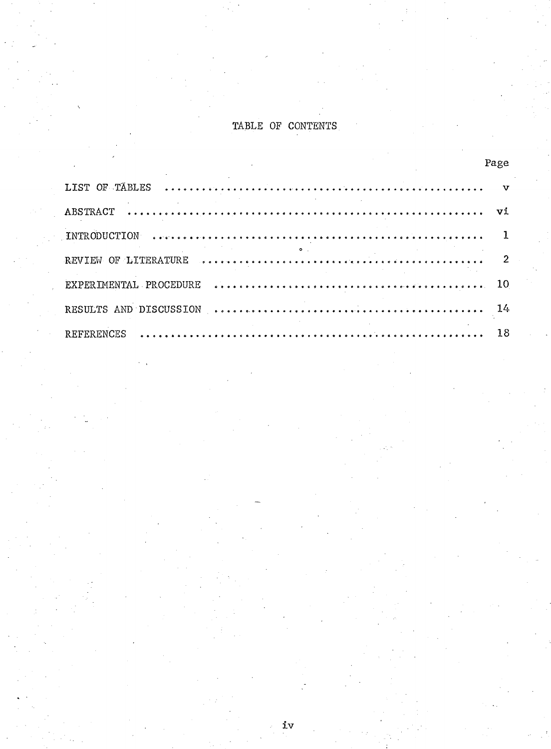# **TABLE OF CONTENTS**

|                                                                                                                                                                                                                                                                                                                                                                                                       | Page |  |
|-------------------------------------------------------------------------------------------------------------------------------------------------------------------------------------------------------------------------------------------------------------------------------------------------------------------------------------------------------------------------------------------------------|------|--|
|                                                                                                                                                                                                                                                                                                                                                                                                       |      |  |
|                                                                                                                                                                                                                                                                                                                                                                                                       |      |  |
|                                                                                                                                                                                                                                                                                                                                                                                                       |      |  |
| $\overline{\mathbf{Q}}$ and $\overline{\mathbf{Q}}$ and $\overline{\mathbf{Q}}$ and $\overline{\mathbf{Q}}$ and $\overline{\mathbf{Q}}$ and $\overline{\mathbf{Q}}$ and $\overline{\mathbf{Q}}$ and $\overline{\mathbf{Q}}$ and $\overline{\mathbf{Q}}$ and $\overline{\mathbf{Q}}$ and $\overline{\mathbf{Q}}$ and $\overline{\mathbf{Q}}$ and $\overline{\mathbf{Q}}$ and $\overline{\mathbf{Q}}$ a |      |  |
|                                                                                                                                                                                                                                                                                                                                                                                                       |      |  |
|                                                                                                                                                                                                                                                                                                                                                                                                       |      |  |
|                                                                                                                                                                                                                                                                                                                                                                                                       |      |  |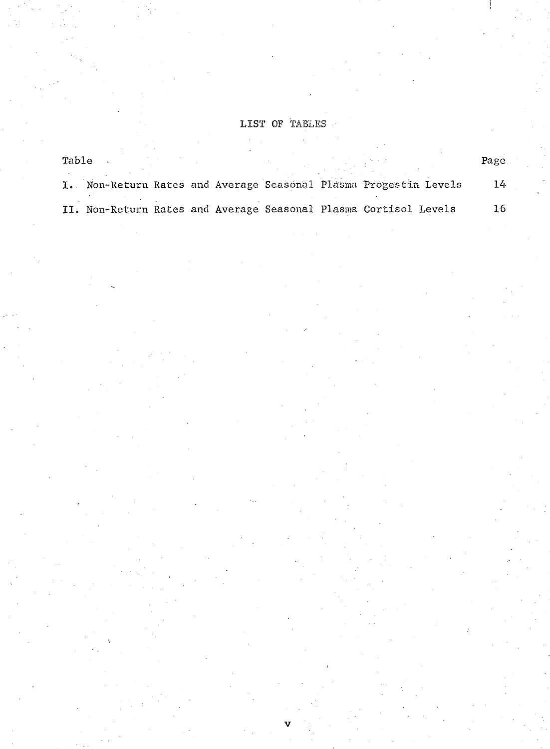# **LIST OF TABLES**

 $\tilde{A}=\tilde{A}$ 

 $\frac{1}{2}$ 

| Table |  |  |  |                                                                  | Page |
|-------|--|--|--|------------------------------------------------------------------|------|
|       |  |  |  | Non-Return Rates and Average Seasonal Plasma Progestin Levels    | 14   |
|       |  |  |  | II. Non-Return Rates and Average Seasonal Plasma Cortisol Levels | 16   |

**v**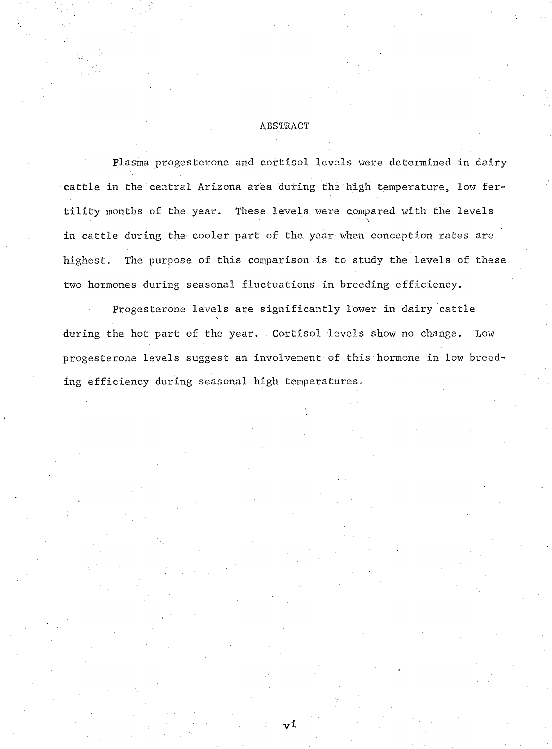## **ABSTRACT**

**Plasma progesterone and cortisol levels were determined in dairy** cattle in the central Arizona area during the high temperature, low fer**tility months of the year. These levels were compared with the levels \ in cattle during the cooler part of the year when conception rates are highest. The purpose of this comparison is to study the levels of these two hormones during seasonal fluctuations in breeding efficiency.**

**Progesterone levels are significantly lower in dairy cattle during the hot part of the year. Cortisol levels show no change. Low progesterone levels suggest an involvement of this hormone in low breeding efficiency during seasonal high temperatures.**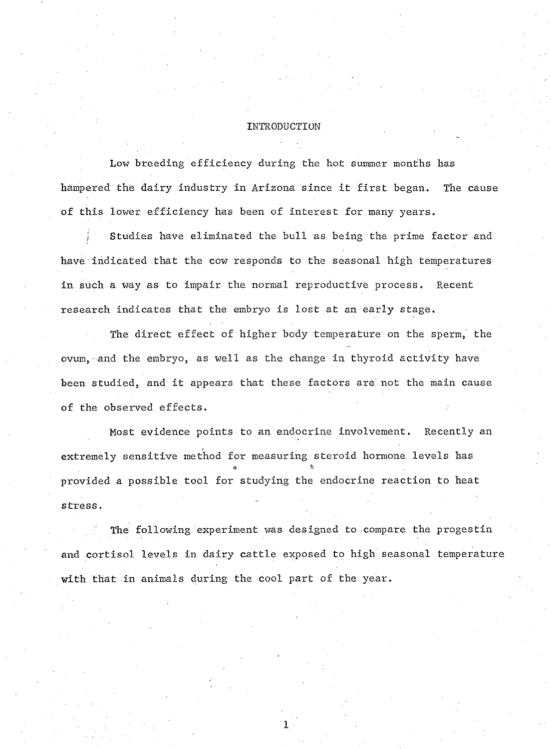#### **INTRODUCTION**

**Low breeding efficiency during the hot summer months has hampered the dairy industry in Arizona since it first began. The cause of this lower efficiency has been of interest for many years.**

**j Studies have eliminated the bull as being the prime factor and have indicated that the cow responds to the seasonal high temperatures in such a way as to impair the normal reproductive process. Recent research indicates that the embryo is lost at an early stage.**

**The direct effect of higher body temperature on the sperm, the ovum, and the embryo, as well as the change in thyroid activity have been studied, and it appears that these factors are not the main cause of the observed effects.**

**Most evidence points to an endocrine involvement. Recently an extremely sensitive method for measuring steroid hormone levels has \* % provided a possible tool for studying the endocrine reaction to heat stress.**

**The following experiment was designed to compare the progestin and cortisol levels in dairy cattle exposed to high seasonal temperature with that in animals during the cool part of the year.**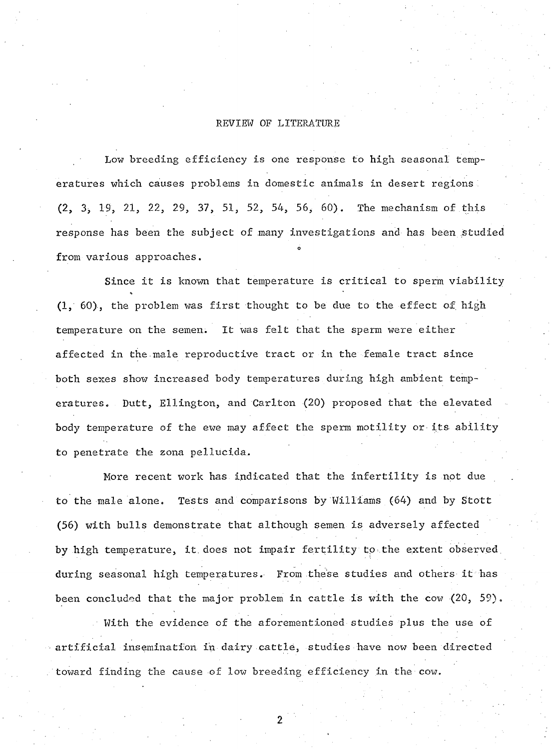### **REVIEW OF LITERATURE**

**Low breeding efficiency is one response to high seasonal temperatures which causes problems in domestic animals in desert regions'. (2,** *3,* **19, 21, 22, 29, 37, 51, 52, 54, 56, 60). The mechanism of this** *response* **has been the subject of many investigations and has been studied from various approaches.**

**Since it is known that temperature is critical to sperm viability e. (1, 60), the problem was first thought to be due to the effect of high temperature on the semen. It was felt that the sperm were either affected in the.male reproductive tract or in the female tract since both sexes show increased body temperatures during high ambient temperatures. Dutt, Ellington, and Carlton (20) proposed that the elevated body temperature of the ewe may affect the sperm motility or its ability to penetrate the zona pellucida.**

**More recent work has indicated that the infertility is not due to the male alone. Tests and comparisons by Williams (64) and by Stott (56) with bulls demonstrate that although semen is adversely affected by high temperature, it. does not impair fertility to .the extent observed, during seasonal high temperatures. From these studies and others it has been concluded that the major problem in cattle is with the cow (20, 59).**

**■ With the evidence of the aforementioned studies plus the use of artificial insemination in- dairy cattle, studies have now been directed 'toward finding the cause of low breeding efficiency in the cow.**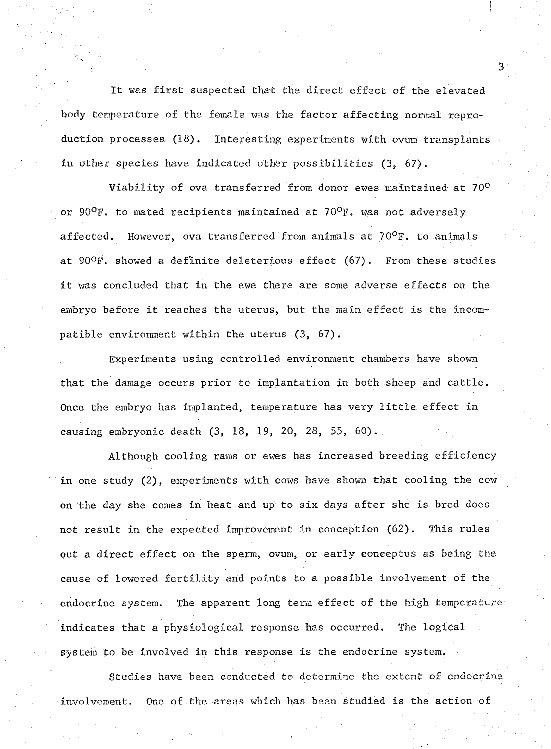**It was first suspected that the direct effect of the elevated body temperature of the female was the factor affecting normal reproduction processes (18). Interesting experiments with ovum transplants in other species have indicated other possibilities (3, 67).**

**Viability of ova transferred from donor ewes maintained at 7.0°** or 90<sup>o</sup>F. to mated recipients maintained at 70<sup>o</sup>F. was not adversely **affected. However, ova transferred from animals at 70°F. to animals at 90oF. showed a definite deleterious effect (67). From these studies it was concluded that in the ewe there are some adverse effects on the embryo before it reaches the uterus, but the main effect is the incompatible environment within the uterus (3, 67).**

**Experiments using controlled environment chambers have shown that the damage occurs prior to implantation in both sheep and cattle. Once the embryo has implanted, temperature has very little effect in causing embryonic death (3, 18, 19, 20, 28, 55, 60).**

**Although cooling rams or ewes has increased breeding efficiency in one study (2), experiments with cows have shown that cooling the cow on/the day she comes in heat and up to six days after she is bred does not result in the expected improvement in conception (62). This rules put a direct effect on the sperm, ovum, or early conceptus as being the cause of lowered fertility and points to a possible involvement of the endocrine system. The apparent long term effect of the high temperature indicates that a physiological response has occurred. The logical system to be involved in this response is the endocrine system.**

**Studies have been conducted to determine the extent of endocrine involvement. One of the areas which has been studied is the action of**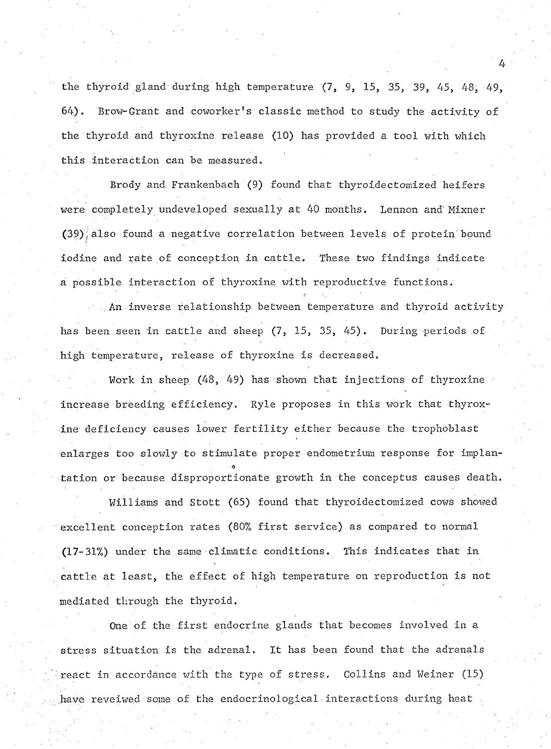**the thyroid gland during high temperature (7, 9, 15, 35, 39, 45, 48, 49,** 64). Brow-Grant and coworker's classic method to study the activity of **the thyroid and thyroxine release (10) has provided a tool with which** this interaction can be measured.

**4**

Brody and Frankenbach (9) found that thyroidectomized heifers **were completely undeveloped sexually at 40 months. Lennon and Mixner (39);also found a negative correlation between levels of protein bound iodine and rate of conception in cattle. These two findings indicate a possible, interaction of thyroxine with reproductive functions.**

**.. An inverse relationship between temperature and thyroid activity has been seen in cattle and sheep (7, 15, 35, 45). During periods of high temperature, release of thyroxine is decreased.**

**Work in sheep (48, 49) has shown that injections of thyroxine increase breeding efficiency. Ryle proposes in this, work that thyroxine deficiency causes lower fertility either because the trophoblast enlarges too slowly to stimulate proper endometrium response for implan- \* tation or because disproportionate growth in the conceptus causes death.**

**Williams and Stott (65) found that thyroidectomized cows showed excellent conception rates (80% first service) as compared to normal (17-31%) under the same climatic conditions. This indicates that in cattle at least, the effect of high temperature on reproduction is not mediated through the thyroid.**

**One of the first endocrine glands that becomes involved in a stress situation is the adrenal. It has been found that the adrenals react in accordance with the type of stress. Collins and Weiner (15) have reveiwed some of the endocrinological interactions during heat**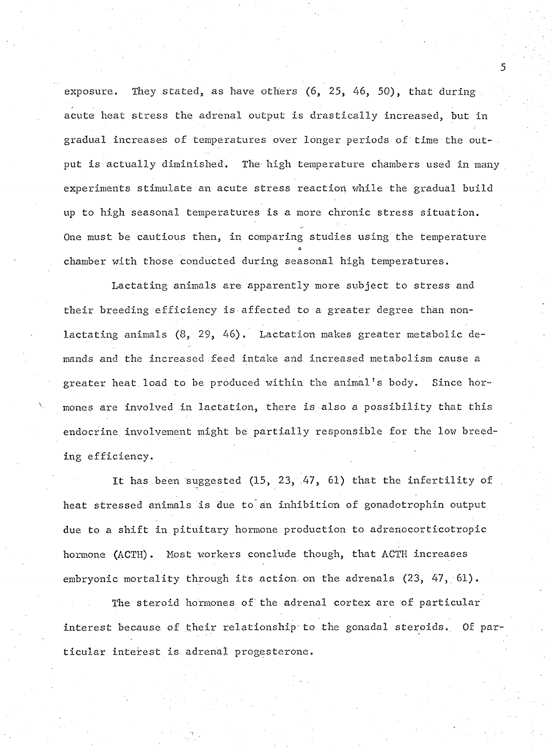**exposure. They stated, as have others (6, 25, 46, 50), that during . acute heat stress the adrenal output is drastically increased, but in gradual increases of temperatures over longer periods of time the output is actually diminished• The high temperature chambers used in many experiments stimulate an acute stress reaction while the gradual build up to high seasonal temperatures is a more chronic stress situation. One must be cautious then, in comparing studies using the temperature ° chamber with those conducted during seasonal high temperatures.**

**Lactating animals are apparently more subject to stress and their breeding efficiency is affected to a greater degree than nonlactating animals (8, 29, 46). Lactation makes greater metabolic demands and the increased .feed intake and increased metabolism cause a greater heat.load to be produced within the animal!s body. Since hormones are involved in lactation, there is also a possibility that this endocrine involvement might be partially responsible for the low breeding efficiency.**

It has been suggested (15, 23, 47, 61) that the infertility of **heat stressed animals is due to an inhibition of gonadotrophin output due to a shift in pituitary hormone production to adrenocorticotropic hormone (ACTE). Most workers conclude though, that ACTE increases embryonic mortality through its action, on the adrenals (23, 47, 61).**

**The steroid hormones of the adrenal cortex are of particular interest because of their relationship to the gonadal steroids. Of particular interest is. adrenal progesterone.**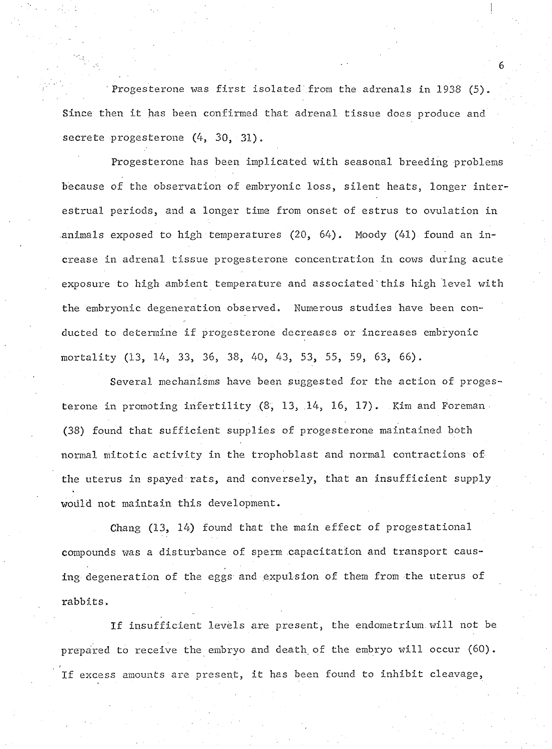**'Progesterone was first isolated'from the adrenals in 1938 (5). Since then it has been confirmed that adrenal tissue does produce and secrete progesterone (4, 30, 31).**

**Progesterone has been implicated with seasonal breeding problems because of the observation of embryonic loss, silent heats, longer interestrual periods, and a longer time from onset of estrus to ovulation in animals exposed to high temperatures (20, 64). Moody (41) found an increase in adrenal tissue progesterone concentration in cows during acute exposure to high ambient temperature and associated this high level with the embryonic degeneration observed. Numerous studies have been conducted to determine if progesterone decreases or increases embryonic mortality (13, 14, 33, 36, 38, 40, 43, 53, 55, 59, 63, 66).**

**Several mechanisms have been suggested for the action of proges**terone in promoting infertility (8, 13, 14, 16, 17). Kim and Foreman **(38) found that sufficient supplies of progesterone maintained both normal mitotic activity in the trophoblast and normal contractions of the uterus in spayed rats, and conversely, that an insufficient supply would not maintain this development,**

**Chang (13, 14) found that the main effect of progestational compounds was a disturbance of sperm capacitation and transport causing degeneration of the eggs and expulsion of them from the uterus of rabbits.**

**If insufficient levels are present, the endometrium.will not be prepared to receive the embryo and death, of the embryo will occur (60). If excess amounts are present, it has been found to inhibit cleavage,**

" **6**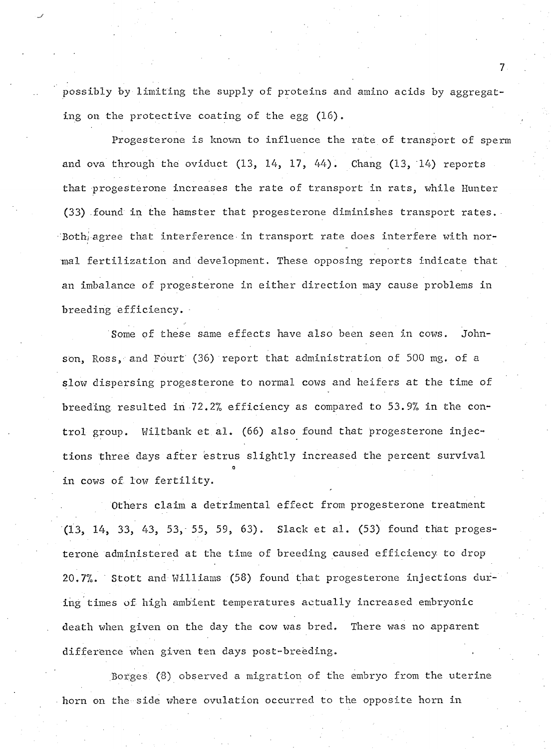**possibly by limiting the supply of proteins and amino acids by aggregat**ing on the protective coating of the egg (16).

**Progesterone is known to influence the rate of transport of sperm and ova through the oviduct (13, 14, 17, 44). Chang (13, 14) reports that progesterone increases the rate of transport in rats, while Hunter (33) found in the hamster that progesterone diminishes transport rates.** Both<sub>i</sub> agree that interference in transport rate does interfere with nor**mal fertilization and development. These opposing reports indicate that an imbalance of progesterone in either direction may cause problems in breeding efficiency.**

**Some of these same effects have also been seen in cows. Johnson, Ross, and Fourt (36) report that administration of 500 mg. of a slow dispersing progesterone to normal cows and heifers at the time of breeding resulted in 72.2% efficiency as compared to 53.9% in the control group. HiItbank et.al. (66) also found that progesterone injections three days after estrus slightly increased the percent survival -0** . **in cows of low fertility.**

**Others claim a detrimental effect from progesterone treatment (13, 14, 33, 43, 53, 55, 59, 63). Slack et al. (53) found that progesterone administered at the time of breeding caused efficiency to drop 20.7%. Stott and Williams (58) found that progesterone injections during times of high ambient temperatures actually increased embryonic death when given on the day the cow was bred. There was no apparent difference when given ten days post-breeding. ,**

**Borges (8) observed a migration of the embryo from the uterine horn on the side where ovulation occurred to the opposite horn in**

 $\overline{7}$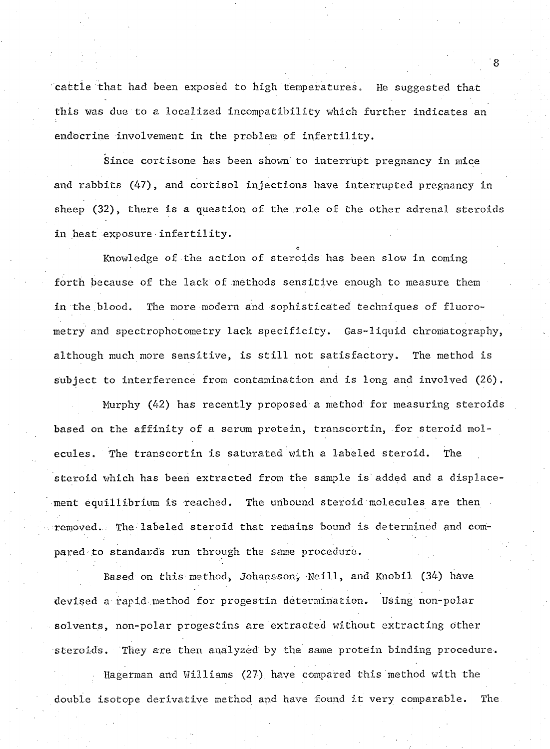cattle that had been exposed to high temperatures. He suggested that **this was due to a localized incompatibility which further indicates an endocrine involvement in the problem of infertility.**

**Since cortisone has been shown to interrupt pregnancy in mice and rabbits (47), and cortisol injections have interrupted pregnancy in sheep (32), there is a question of the role of the other adrenal steroids in heat exposure infertility.**

Knowledge of the action of steroids has been slow in coming **forth because of the lack of methods sensitive enough to measure them** in the blood. The more modern and sophisticated techniques of fluoro**metry and spectrophotometry lack specificity. Gas-liquid chromatography, although much more sensitive, is still not satisfactory. The method is subject to interference from contamination and is long and involved (26).**

**Murphy (42) has recently proposed a method for measuring steroids based on the affinity of a serum protein, transcortin, for steroid molecules. The transcortin is saturated with a labeled steroid. The steroid which has been extracted from the sample is added and a displacement equillibrium is reached. The unbound steroid molecules are then removed.: The labeled steroid that remains bound is determined and compared to standards run through the same procedure.**

**Based on this method, Johansson, Neill, and Knobil (34) have devised a rapid method for progestin determination. Using non-polar solvents, non-polar progestins are extracted without extracting other steroids. They are then analyzed by the same protein binding procedure.**

**Ha german and Williams (27) have compared this method with the double isotope derivative method and have found it very comparable. The**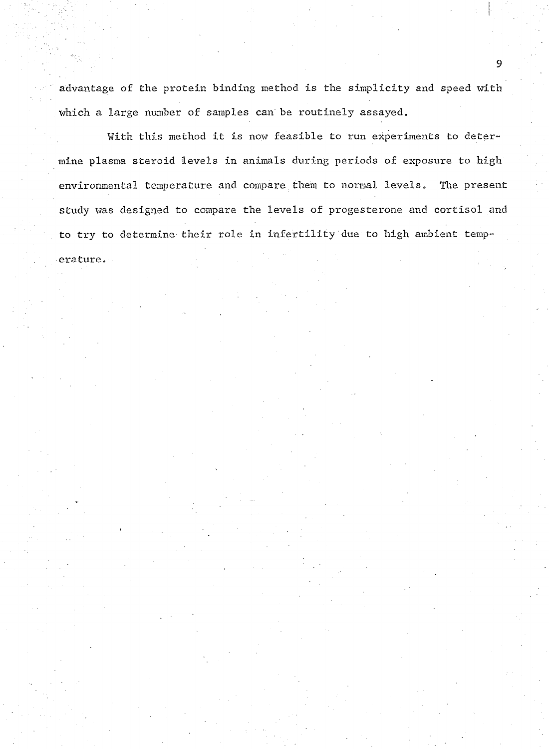**advantage of the protein binding method is the simplicity and speed with which a large number of samples can be routinely assayed.**

**With this method it is now feasible to run experiments to determine plasma steroid levels in animals during periods of exposure to high environmental temperature and compare.them to normal levels. The present study was designed to compare the levels of progesterone and cortisol and to try to determine their role in infertility due to high ambient temperature.**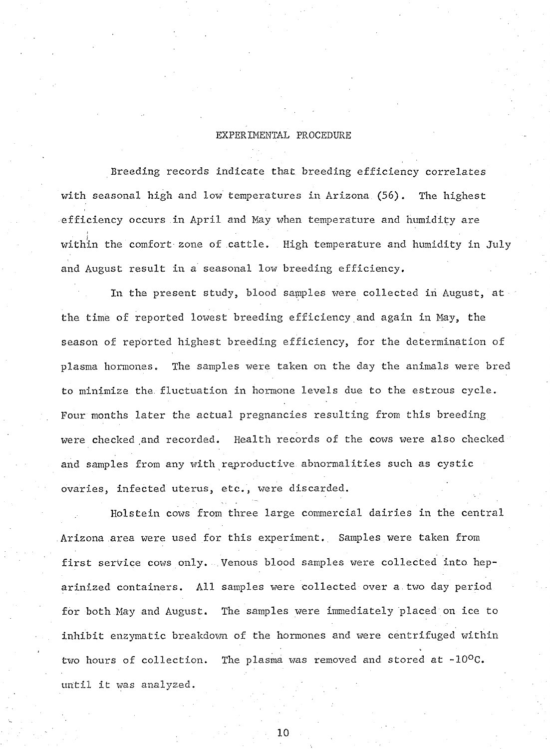### **EXPERIMENTAL PROCEDURE**

**Breeding records indicate that breeding efficiency correlates with seasonal high and low temperatures in Arizona (56). The highest efficiency occurs in April and May when temperature and humidity are within the comfort- zone of cattle. High temperature and humidity in July and August result in a seasonal low breeding efficiency.**

**In the present study, blood samples were collected in August, at the time of reported lowest breeding efficiency and again in May, the season of reported highest breeding efficiency, for the determination of plasma hormones. The samples were taken on the day the animals were bred to minimize the. fluctuation in hormone levels due to the estrous cycle. Four months later the actual pregnancies resulting from this breeding** were checked and recorded. Health records of the cows were also checked **and samples from any with reproductive abnormalities such as cystic ovaries, infected uterus, etc., were discarded.**

**Holstein cows from three large commercial dairies in the central Arizona area were used for this experiment.. Samples were taken from first service cows only. Venous blood samples were collected into heparinized containers. All samples were collected over a.two day period for both May and August. The samples were immediately placed on ice to inhibit enzymatic breakdown of the hormones and were centrifuged within two hours of collection. The plasma was removed and stored at -10°C.** until it was analyzed.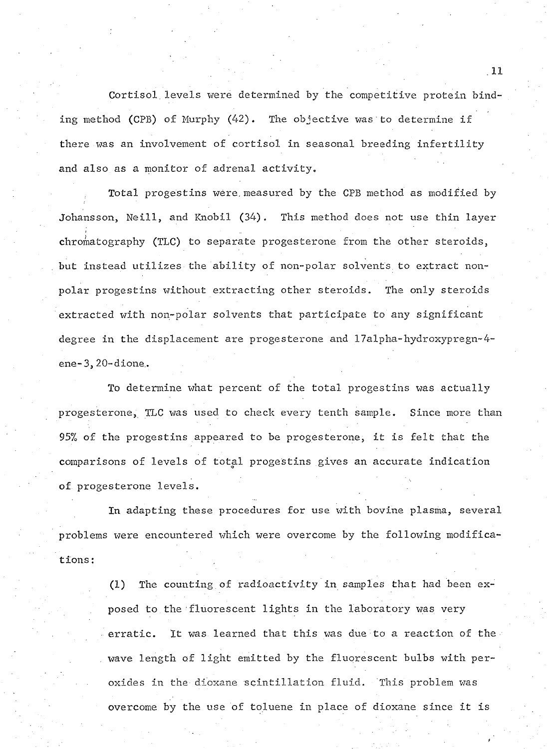**Cortisol.levels were determined by the competitive protein binding method (CPB) of Murphy (42). The objective was to determine if there was an involvement of cortisol in seasonal breeding infertility and also as a monitor of adrenal activity.**

**Total progestins were,measured by the CPB method as modified by Johansson, Neill, and Knobil (34). This method does not use thin layer chromatography (TLC) to separate progesterone from the other steroids, but instead utilizes the ability of non-polar solvents to extract nonpolar progestins without extracting other steroids. The only steroids extracted with non-polar solvents that participate to any significant degree in the displacement are progesterone and 17alpha-hydroxypregn~4 ene-3, 20~dione..**

**To determine what percent of the total progestins was actually progesterone, TLC was used to check every tenth sample. Since more than 95% of the progestins appeared to be progesterone, it is felt that the comparisons of levels of total progestins gives an accurate indication of progesterone levels.**

**In adapting these procedures for use with bovine plasma, several problems were encountered which were overcome by the following modifications: ,**

> **(1) The counting of radioactivity in samples that had been exposed to the fluorescent lights in the laboratory was very erratic. It was learned that this was due to a reaction of the** wave length of light emitted by the fluorescent bulbs with per**oxides in the dioxane scintillation fluid. This problem was overcome by the use of toluene in place of dioxane since it is**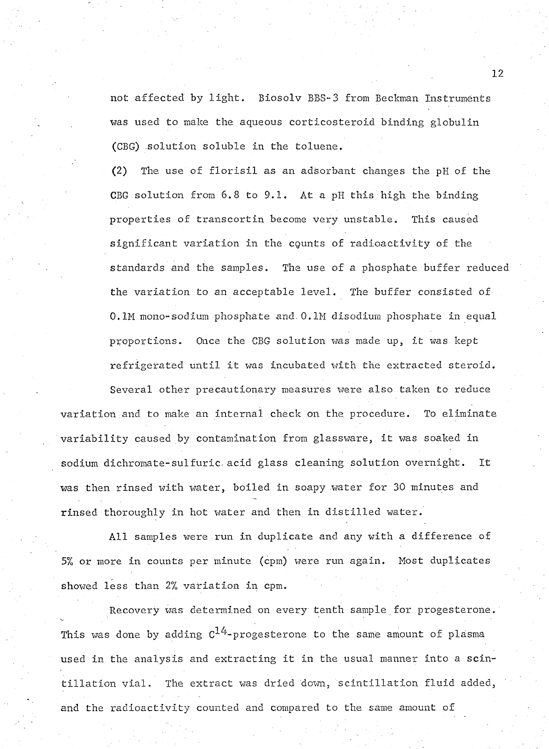**not affected by light. Biosolv BBS-3 from Beckman Instruments was used to make the aqueous corticosteroid binding globulin (CBG) .solution soluble in the toluene.**

**(2) The use of florisil as an adsorbent changes the pH of the CBG solution from 6.8 to 9.1. At a pH this high the binding properties of transcortin become very unstable. This caused significant variation in the cqunts of radioactivity of the standards and the samples. The use of a phosphate buffer reduced the variation to an acceptable level. The buffer consisted of 0.1M mono-sodium phosphate and. 0.1M disodium phosphate in equal proportions. Once the CBG solution was made up, it was kept refrigerated until it was incubated with the extracted steroid.**

**Several other precautionary measures were also taken to reduce variation and to make an internal check on the procedure. To eliminate variability caused by contamination from glassware, it was soaked in sodium dichromate-sulfuric. acid glass cleaning solution overnight. It was then rinsed with water, boiled in soapy water for 30 minutes and rinsed thoroughly in hot water and then in distilled water.**

**All samples were run in duplicate and any with a difference of 5% or more in counts per minute (cpm) were run again. Most duplicates showed less than 2% variation in cpm.**

**Recovery was determined on every tenth sample for progesterone.** This was done by adding  $C^{14}$ -progesterone to the same amount of plasma **used in the analysis and extracting it in the usual manner into a scintillation vial. The extract was dried down, scintillation fluid added, and the radioactivity counted and compared to the same amount of**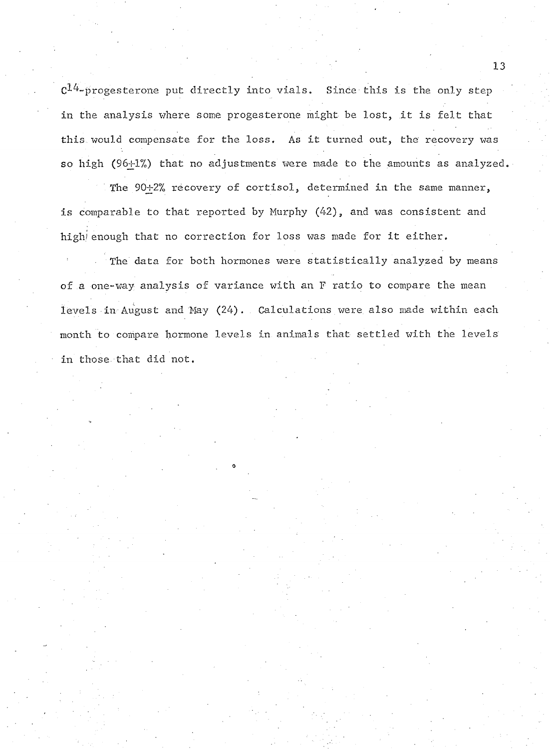$c^{14}$ -progesterone put directly into vials. Since this is the only step **in the analysis where some progesterone might be lost, it is felt that this would compensate for the loss, As it turned out, the recovery was** so high (96+1%) that no adjustments were made to the amounts as analyzed.

The 90+2% recovery of cortisol, determined in the same manner, **is comparable to that reported by Murphy (42), and was consistent and high/ enough that no correction for loss was made for it either.**

**The data for both hormones were statistically analyzed by means of a one-way analysis of variance with an F ratio to compare the mean levels in August and May (24). . Calculations were also made within each month to compare hormone levels in animals that settled with the levels in those that did not.**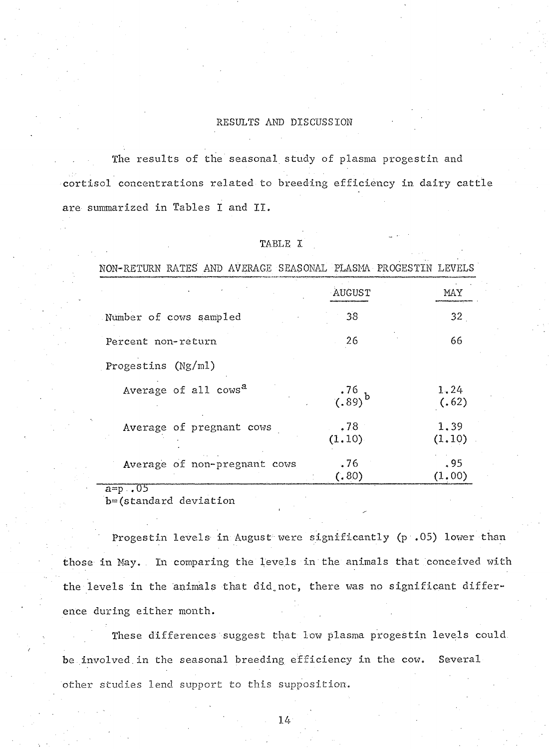## **RESULTS AND DISCUSSION**

**The results of the seasonal study of plasma progestin and cortisol concentrations related to breeding efficiency in dairy cattle are summarized in Tables I and II.**

**TABLE I**

| NON-RETURN RATES AND AVERAGE SEASONAL PLASMA PROGESTIN LEVELS |                       |                 |
|---------------------------------------------------------------|-----------------------|-----------------|
|                                                               | AUGUST                | MAY             |
| Number of cows sampled                                        | 38                    | 32 <sub>1</sub> |
| Percent non-return                                            | 26                    | 66              |
| Progestins $(Ng/ml)$                                          |                       |                 |
| Average of all cows <sup>a</sup>                              | $\frac{.76}{(.89)}$ b | 1.24<br>(.62)   |
| Average of pregnant cows                                      | .78<br>(1.10)         | 1.39<br>(1.10)  |
| Average of non-pregnant cows                                  | .76<br>(.80)          | .95<br>(1.00)   |

**a = p ..05**

**b-(standard deviation**

**Progestin levels- in August xvere significantly (p .05) lower than** those in May. In comparing the levels in the animals that conceived with **the levels in the animals that did.not, there was no significant difference during either month.**

**These differences suggest that low plasma progestin levels could, be involved.in the seasonal breeding efficiency in the cow. Several other studies lend support to this supposition.**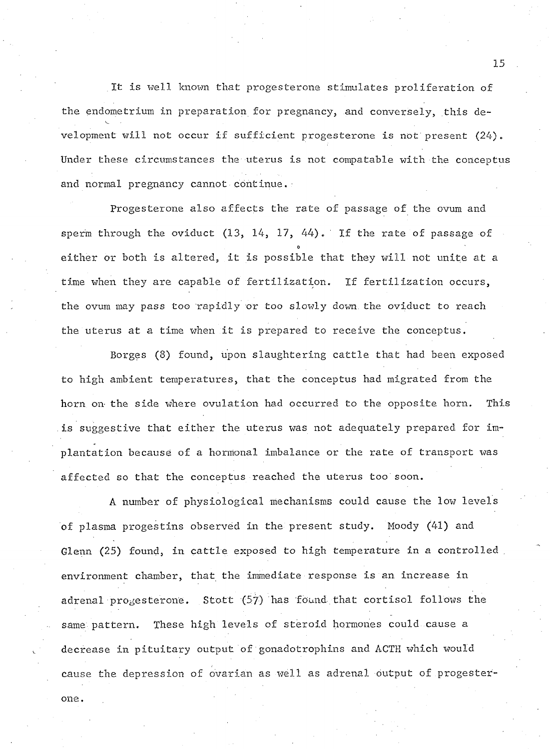**It is well known that progesterone stimulates proliferation of the endometrium in preparation for pregnancy, and conversely, this development will not occur if sufficient progesterone is not present (24). Under these circumstances the uterus is not compatable with the conceptus and normal pregnancy cannot continue.■**

**Progesterone also affects the rate of passage of the ovum and sperm through the oviduct (13, 14, 17, 44).' If the rate of passage of O either or both is altered, it is possible that they will not unite at a time when they are capable of fertilization. If fertilization occurs, the ovum may pass too rapidly or too slowly down, the oviduct to reach the uterus at a time when it is prepared to receive the conceptus.**

**Borges (8) found, upon slaughtering cattle that had been exposed to high ambient temperatures, that the conceptus had migrated from the horn on the side where ovulation had occurred to the opposite horn. This is suggestive that either the uterus was not adequately prepared for implantation because of a hormonal imbalance or the rate of transport was affected so that the conceptus reached the uterus too soon.**

**A number of physiological mechanisms could cause the low levels of plasma progestins observed in the present study. Moody (41) and Glenn (25) found, in cattle exposed to high temperature in a controlled . environment chamber, that the immediate response is an increase in adrenal progesterone. Stott (57) has found that cortisol follows the same pattern. These high levels of steroid hormones could cause a decrease in pituitary output of gonadotrophins and ACTE which would cause the depression of ovarian as well as adrenal output of progester-**

**one .**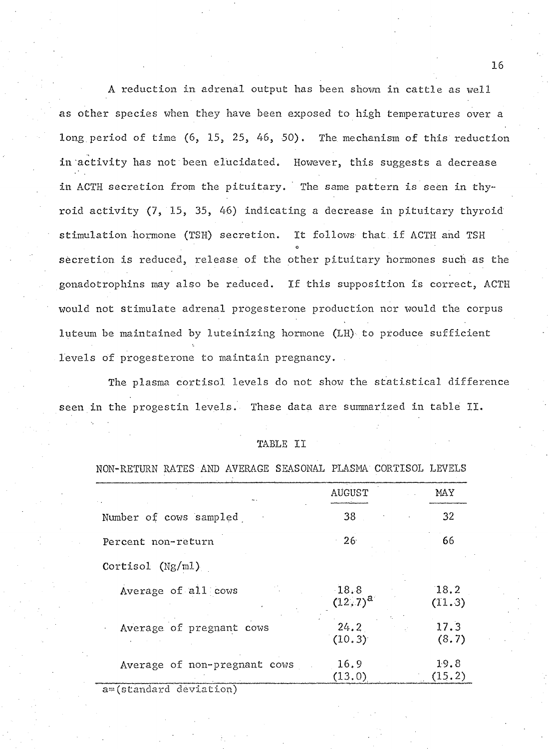**A reduction in adrenal output has been shown in cattle as well as other species when they have been exposed to high temperatures over a** long period of time (6, 15, 25, 46, 50). The mechanism of this reduction **in activity has not been elucidated. However, this suggests a decrease in ACTH secretion from the pituitary. The same pattern is seen in thyroid activity (7, 15, 35, 46) indicating a decrease in pituitary thyroid stimulation hormone (TSH) secretion. It follows that if ACTH and TSH o secretion is reduced, release of the other pituitary hormones such as the gonadotrophins may also be reduced. If this supposition is correct, ACTH would not stimulate adrenal progesterone production nor would the corpus luteurn be maintained by luteinizing hormone (LH) to produce sufficient levels of progesterone to maintain pregnancy. .**

**The plasma cortisol levels do not show the statistical difference seen in the progestin levels. These data are summarized in table II.**

| TABLE | ΤT |
|-------|----|
|       |    |

#### **NON-RETURN RATES AND AVERAGE SEASONAL PLASMA CORTISOL LEVELS**

|                              | AUGUST              | MAY            |
|------------------------------|---------------------|----------------|
| Number of cows sampled       | 38                  | 32             |
| Percent non-return           | 26 <sup>°</sup>     | 66             |
| $\text{Cortisol}$ (Ng/m1)    |                     |                |
| Average of all cows          | 18.8<br>$(12, 7)^a$ | 18.2<br>(11.3) |
| Average of pregnant cows     | 24.2<br>(10.3)      | 17.3<br>(8.7)  |
| Average of non-pregnant cows | 16.9<br>(13.0)      | 19.8<br>(15.2) |
| a=(standard deviation)       |                     |                |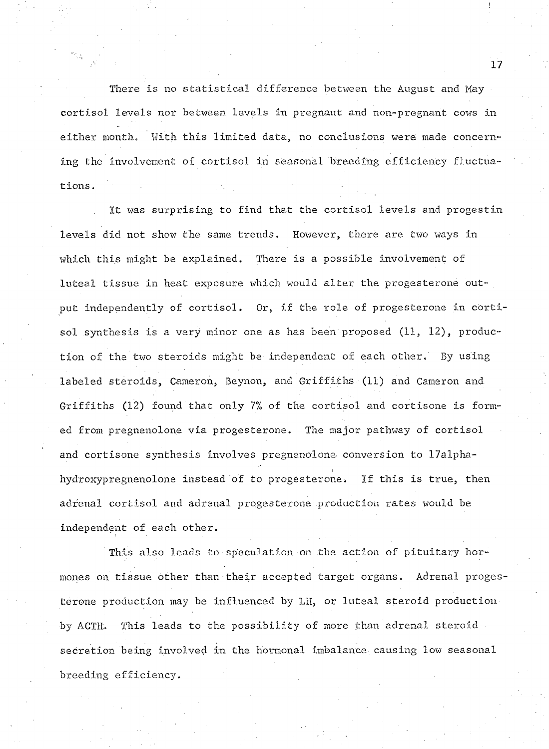**There is no statistical difference between the August and May cortisol levels nor between levels in pregnant and non-pregnant cows in either month. With this limited data, no conclusions were made concerning the involvement of cortisol in seasonal breeding efficiency fluctuations.**

**It was surprising to find that the cortisol levels and progestin levels did not show the same trends. However, there are two ways in which this might be explained. There is a possible involvement of luteal tissue in heat exposure which would alter the progesterone output independently of cortisol. Or, if the role of progesterone in cortisol synthesis is a very minor one as has been proposed (11, 12), production of the two steroids might be independent of each other. By using labeled steroids, Cameron, Beynon, and Griffiths (11) and Cameron and Griffiths (12) found that only 7% of the cortisol and cortisone is formed from pregnenolone via progesterone. The major pathway of cortisol and cortisone synthesis involves pregnenolone conversion to 17alphahydroxypregnenolone instead of to progesterone. If this is true, then adrenal cortisol and adrenal progesterone production rates would be independent of each other.**

**This also leads to speculation on the action of pituitary hormones on tissue other than their accepted target organs. Adrenal progesterone production may be influenced by LH, or luteal steroid production by ACTH. This leads to the possibility of more than adrenal steroid secretion being involved in the hormonal imbalance causing low seasonal breeding efficiency.**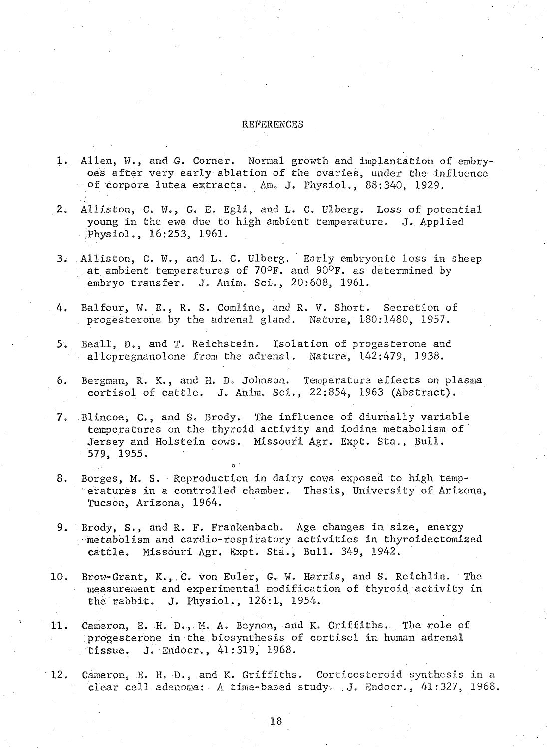#### **REFERENCES**

- 1. Allen, W., and G. Corner. Normal growth and implantation of embry**o.es after very early ablation of the ovaries, under the influence of corpora lutea extracts. Am. J. Physiol., 88:340, 1929.**
- **2. Alliston, C. W . , G. E. Egli, and L. C. Ulberg. Loss of potential young in the ewe due to high ambient temperature. J. Applied /Physiol., 16:253, 1961.**
- **3. Alliston, C. W . , and L. C. Ulberg. Early embryonic loss in sheep at ambient temperatures of 70°F. and 90°F. as determined by embryo transfer. J. Anim, Sci., 20:608, 1961.**
- **4. Balfour, W. E., R. S. Comline, and R. V, Short. Secretion of progesterone by the adrenal gland. Nature, 180:1480, 1957.**
- **5. Beall, D., and T, Reichstein. Isolation of progesterone and allopregnanolone from the adrenal. Nature, 142:479, 1938.**
- **6. Bergman, R. K., and H. D. Johnson. Temperature effects on plasma cortisol of cattle. J. Anim. Sci., 22:854, 1963 (Abstract).**
- **7. Blincoe, C., and S. Brody. The influence of diurnally variable temperatures on the thyroid activity and iodine metabolism of Jersey and Holstein cows. Missouri Agr. Expt. Sta., Bull. 579, 1955. '**
- **8. Borges, M. S. Reproduction in dairy cows exposed to high temperatures in a controlled chamber. Thesis, University of Arizona, Tucson, Arizona, 1964.**
- **9. Brody, S., and R. F. Frankenbach. Age changes in size, energy metabolism and cardio-respiratory activities in thyroidectomized cattle. Missouri Agr. Expt. Sta., Bull. 349, 1942.**
- **10. Brow-Grant, K., C. von Euler, G. W. Harris, and S. Reichlin. The measurement and experimental modification of thyroid activity in the rabbit. J. Physiol., 126:1, 1954.**
- **11. Cameron, E. H. D., M. A. Beynon, and K. Griffiths. The role of progesterone in the biosynthesis of cortisol in human adrenal tissue. J. Endocr., 41:319, 1968.**
- **12. Cameron, E. H. D», and K. Griffiths. Corticosteroid synthesis in a clear cell adenoma: A time-based study. .J. Endocr., 41:327, 1968.**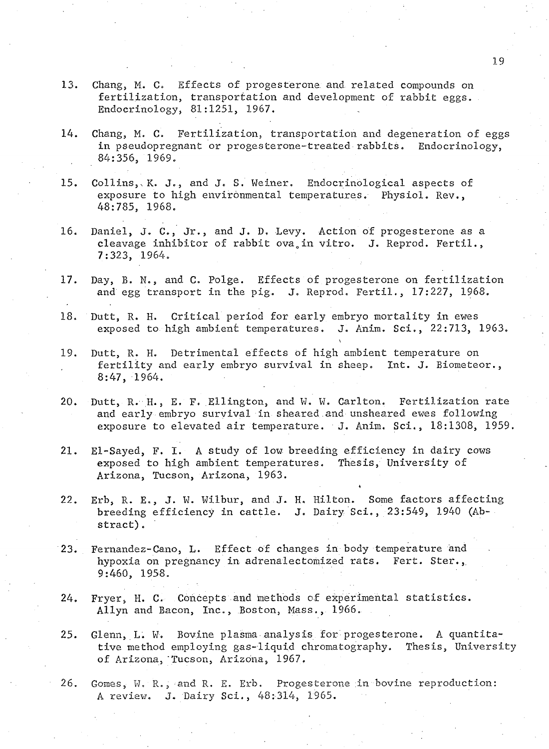- **13. Chang, M. C. Effects of progesterone and related compounds on fertilization, transportation and development of rabbit eggs. Endocrinology, 81:1251, 1967.**
- **14. Chang, M. C. Fertilization, transportation and degeneration of eggs in pseudopregnant or progesterone-treated rabbits. Endocrinology, 84:356, 1969.**
- **15. Collins,x K. J., and J. S. Weiner. Endocrinological aspects of exposure to high environmental temperatures. Physiol. Rev., 48:785, 1968.**
- **16. Daniel, J. C., Jr., and J. D, Levy. Action of progesterone as a** cleavage inhibitor of rabbit ova<sub>s</sub> in vitro. J. Reprod. Fertil., **7:323, 1964.**
- **17. Day, B. N., and C. Polge. Effects of progesterone on fertilization and egg transport in the pig. J. Reprod. Fertil., 17:227, 1968.**
- **18. Dutt, R. H. Critical period for early embryo mortality in ewes exposed to high ambient temperatures. J. Anim. Sci., 22:713, 1963.**
- **19. Dutt, R. H. Detrimental effects of high ambient temperature on fertility and early embryo survival in sheep. Int. J. Biometeor., 8:47, 1964.**
- **20. Dutt, R. H., E. F. Ellington, and W. W. Carlton. Fertilization rate and early embryo survival in sheared and unsheared ewes following exposure to elevated air temperature. J. Anim. Sci., 18:1308, 1959.**
- **21. El-Sayed, F. I. A study of low breeding efficiency in dairy cows exposed to high ambient temperatures. Thesis, University of Arizona, Tucson, Arizona, 1963.**
- **22. Erb, R. E,, J. W. Wilbur, and J. H. Hilton. Some factors affecting breeding efficiency in cattle. J. Dairy Sci., 23:549, 1940 (Abstract) .**
- **23. Fernandez-Cano, L. Effect of changes in body temperature and hypoxia on pregnancy in adrenalectomized rats. Fert. Stef.,. 9:460, 1958.**
- **24. Fryer, H. 0. Concepts and methods of experimental statistics. Allyn and Bacon, Inc., Boston, Mass., 1966.**
- **25. Glenn, L. W. Bovine plasma analysis for progesterone. A quantitative method employing gas-liquid chromatography. Thesis, University of Arizona,"Tucson, Arizona, 1967,**
- **26. Gomes, W. R., and R, E, Erb, Progesterone ;in bovine reproduction: A review. J. Dairy Sci., 48:314, 1965.**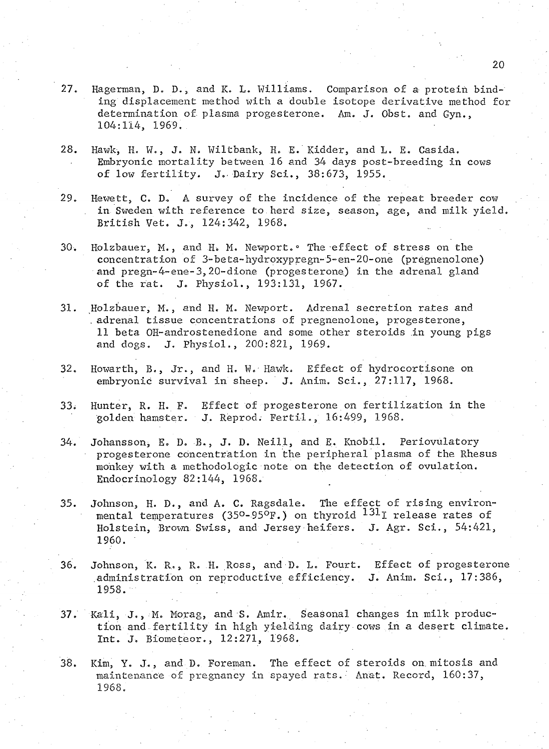- **27. Hagerman, D. D., and K. L. Williams. Comparison of a protein binding displacement method with a double isotope derivative method for determination of plasma progesterone. Am. J. Obst. and Gyn., 104:114, 1969.**
- **28. Hawk, H. W., J. N. Wiltbank, H. E. Kidder, and L. E. Casida. Embryonic mortality between 16 and 34 days post-breeding in cows of low fertility. J. Dairy Sci., 38:673, 1955.**
- **29. Hewett, C. D. A survey of the incidence of the repeat breeder cow in Sweden with reference to herd size, season, age, and milk yield. British Vet. J., 124:342, 1968.**
- **30. Holzbauer, M . , and H> M. Newport.° The effect of stress on the concentration of 3-beta-hydroxypregn-5-en-20-one (pregnenolone) and pregn-4-ene-3,20-dione (progesterone) in the adrenal gland of the rat. J. Physiol., 193:131, 1967.**
- **31. Holzbauer, M . , and H. M. Newport. Adrenal secretion rates and . adrenal tissue concentrations of pregnenolone, progesterone, 11 beta OH-androstenedione and some other steroids in young pigs and dogs. J. Physiol., 200:821, 1969.**
- **32. Howarth, B., Jr., and H. W. Hawk. Effect of hydrocortisone on embryonic survival in sheep. J. Anim. Sci., 27:117, 1968.**
- **33; Hunter, R. H. F. Effect of progesterone on fertilization in the golden hamster. J. Reprod; Fertil., 16:499, 1968.**
- **34. Johansson, E. D. B., J. D. Neill, and E. Knobil. Periovulatory progesterone concentration in the peripheral plasma of the Rhesus monkey with a methodologic note on the detection of ovulation. Endocrinology 82:144, 1968.**
- **35. Johnson, H. D., and A. C. Ragsdale. The effect of rising environ**mental temperatures (35<sup>0</sup>-95<sup>0</sup>F.) on thyroid <sup>131</sup>I release rates of **Holstein, Brown Swiss, and Jersey heifers. J. Agr. Sci., 54:421, 1960.**
- **36. Johnson, K. R., R. H. Ross, and D. L. Fourt. Effect of progesterone administration on reproductive efficiency. J. Anim. Sci., 17:386, 1958.**
- **37. Kali, J., M. Morag, and S. Amir. Seasonal changes in milk production and fertility in high yielding dairy cows in a desert climate. Int. J. Biometeor., 12:271, 1968.**
- **38. Kim, Y. J., and D, Foreman. The effect of steroids on mitosis and maintenance of pregnancy in spayed rats. Anat. Record, 160:37, 1968.**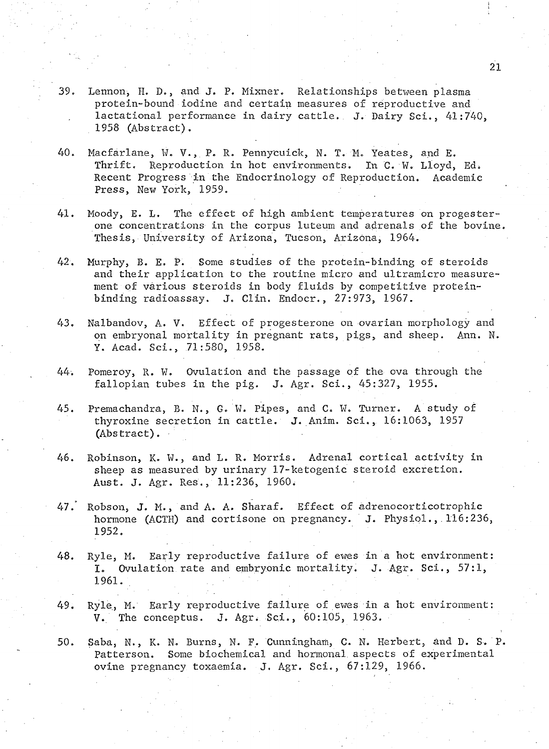- **39. Lennon, H. D., and J. P. Mixner. Relationships between plasma protein-bound iodine and certain measures of reproductive and lactational performance in dairy cattle. J. Dairy Sci., 41:740, 1958 (Abstract).**
- **40. Macfarlane, W. V . , P, R. Pennycuick, N. T. Mo Yeates, and E. Thrift. Reproduction in hot environments. In C. W. Lloyd, Edi Recent Progress in the Endocrinology of Reproduction. Academic Press, New York, 1959.**
- **41. Moody, E. L. The effect of high ambient temperatures on progesterone concentrations in the corpus luteum and adrenals of the bovine. Thesis, University of Arizona, Tucson, Arizona, 1964.**
- **42. Murphy, B. E. P. Some studies of the protein-binding of steroids and their application to the routine micro and ultramicro measurement of various steroids in body fluids by competitive proteinbinding radioassay. 3. Clin. Endocr., 27:973, 1967.**
- **43. Nalbandov, A. V. Effect of progesterone on ovarian morphology and on embryonal mortality in pregnant rats, pigs, and sheep. Ann. N. Y. Acad. Sci., 71:580, 1958.**
- **44. Pomeroy, R. W. Ovulation and the passage of the ova through the fallopian tubes in the pig. J. Agr. Sci., 45:327, 1955.**
- **45. Premachandra, B. N., G. W. Pipes, and C. W. Turner. A study of thyroxine secretion in cattle. J. Anim. Sci., 16:1063, 1957 (Abstract).**
- **46. Robinson, K. ¥., and L. R. Morris. Adrenal cortical activity in sheep as measured by urinary 17-ketogenic steroid excretion. Aust.** *J,* **Agr. Res., 11:236, I960;**
- **47. Robson, J. M . , and A. A. Sharaf. Effect of adrenocorticotrophic hormone (ACTH) and cortisone on pregnancy. J. Physiol.,.116:236, 1952.**
- **48. Ryle, M. Early reproductive failure of ewes in a hot environment: I. Ovulation rate and embryonic mortality. J. Agr. Sci., 57:1, 1961.**
- **49. Ryle, M. Early reproductive failure of ewes in a hot environment: Vo. The conceptus. J. Agr. Sci., 60:105, 1963.**

**50. Saba, N., K. N, Burns, N. F. Cunningham, C. N. Herbert, and D. S. P. Patterson. Some biochemical and hormonal, aspects of experimental ovine pregnancy toxaemia. J, Agr. Sci., 67:129, 1966.**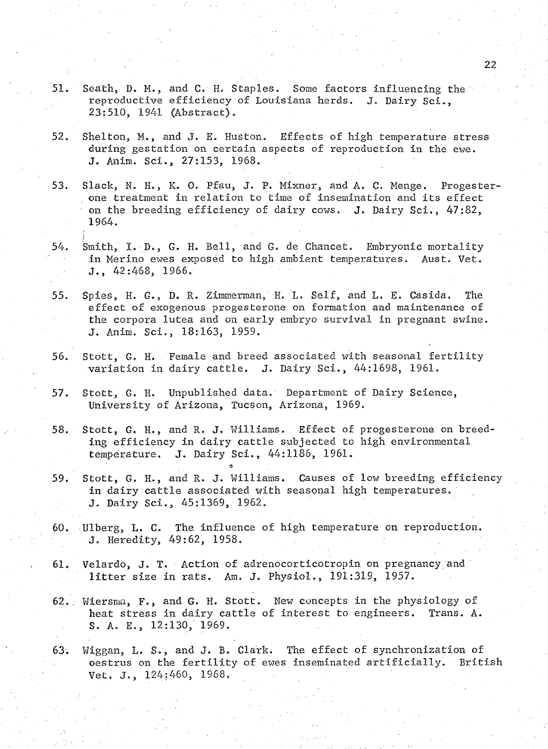- 51. Seath, D. M., and C. H. Staples. Some factors influencing the **reproductive efficiency of Louisiana herds. J. Dairy Sci., 23:510, 1941 (Abstract).**
- **52. Shelton, M . , and J. E. Huston. Effects of high temperature stress during gestation on certain aspects of reproduction in the ewe. J. Anim. Sci., 27:153, 1968.**
- **53. Slack, N. H., K. 0. Pfau, J. P. Mixner, and A. C. Menge. Progesterone treatment in relation to time of insemination and its effect on the breeding efficiency of dairy cows. J. Dairy Sci., 47:82, 1964.**
- **i 54. Smith, I. D., G. H. Bell, and G. de Chancet. Embryonic mortality in Merino ewes exposed to high ambient temperatures. Aust. Vet. J., 42:468, 1966.**
- **55. Spies, H. G., D. R. Zimmerman, H. L. Self, and L. E. Casida, The effect of exogenous progesterone on formation and maintenance of the corpora lutea and on early embryo survival in pregnant swine. J. Anim. Sci., 18:163, 1959.**
- **56. Stott, G. H. Female and breed associated with seasonal fertility variation in dairy cattle. J. Dairy Sci., 44:1698, 1961.**
- **57. Stott, G. H. Unpublished data. Department of Dairy Science, University of Arizona, Tucson, Arizona, 1969.**

**O**

- **58. Stott, G. H., and R. J. Williams. Effect of progesterone on breeding efficiency in dairy cattle subjected to high environmental temperature. J. Dairy Sci., 44:1186, 1961.**
- **59. Stott, G. H., and R. J. Williams. Causes of low breeding efficiency in dairy cattle associated with seasonal high temperatures. J. Dairy Sci., 45:1369, 1962.**
- **60. Ulberg, L. C. The influence of high temperature on reproduction. J. Heredity, 49:62, 1958.**
- **61. Velardo, J. T. Action of adrenocorticotropin on pregnancy, and litter size in rats. Am. J. Physiol., 191:319, 1957.**
- **62. Wiersma, F., and G. H. Stott, New concepts in the physiology of heat stress in dairy cattle of interest to engineers. Trans. A. S. A. E., 12:130, 1969.**
- **63. Wiggan, L. S., and J. B. Clark. The effect of synchronization of oestrus on the fertility of ewes inseminated artificially. British Vet. J., 124:460, 1968,**